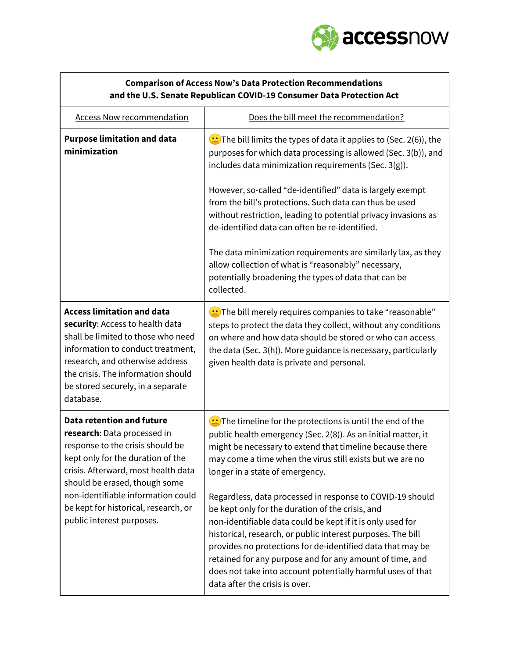

| <b>Comparison of Access Now's Data Protection Recommendations</b><br>and the U.S. Senate Republican COVID-19 Consumer Data Protection Act                                                                                                                                                                                   |                                                                                                                                                                                                                                                                                                                                                                                                                                                                                                                                                                  |
|-----------------------------------------------------------------------------------------------------------------------------------------------------------------------------------------------------------------------------------------------------------------------------------------------------------------------------|------------------------------------------------------------------------------------------------------------------------------------------------------------------------------------------------------------------------------------------------------------------------------------------------------------------------------------------------------------------------------------------------------------------------------------------------------------------------------------------------------------------------------------------------------------------|
| <b>Access Now recommendation</b>                                                                                                                                                                                                                                                                                            | Does the bill meet the recommendation?                                                                                                                                                                                                                                                                                                                                                                                                                                                                                                                           |
| <b>Purpose limitation and data</b><br>minimization                                                                                                                                                                                                                                                                          | $\bigcirc$ The bill limits the types of data it applies to (Sec. 2(6)), the<br>purposes for which data processing is allowed (Sec. 3(b)), and<br>includes data minimization requirements (Sec. 3(g)).<br>However, so-called "de-identified" data is largely exempt<br>from the bill's protections. Such data can thus be used                                                                                                                                                                                                                                    |
|                                                                                                                                                                                                                                                                                                                             | without restriction, leading to potential privacy invasions as<br>de-identified data can often be re-identified.                                                                                                                                                                                                                                                                                                                                                                                                                                                 |
|                                                                                                                                                                                                                                                                                                                             | The data minimization requirements are similarly lax, as they<br>allow collection of what is "reasonably" necessary,<br>potentially broadening the types of data that can be<br>collected.                                                                                                                                                                                                                                                                                                                                                                       |
| <b>Access limitation and data</b><br>security: Access to health data<br>shall be limited to those who need<br>information to conduct treatment,<br>research, and otherwise address<br>the crisis. The information should<br>be stored securely, in a separate<br>database.                                                  | $\bigcirc$ The bill merely requires companies to take "reasonable"<br>steps to protect the data they collect, without any conditions<br>on where and how data should be stored or who can access<br>the data (Sec. 3(h)). More guidance is necessary, particularly<br>given health data is private and personal.                                                                                                                                                                                                                                                 |
| <b>Data retention and future</b><br>research: Data processed in<br>response to the crisis should be<br>kept only for the duration of the<br>crisis. Afterward, most health data<br>should be erased, though some<br>non-identifiable information could<br>be kept for historical, research, or<br>public interest purposes. | $\left( \frac{1}{2} \right)$ The timeline for the protections is until the end of the<br>public health emergency (Sec. 2(8)). As an initial matter, it<br>might be necessary to extend that timeline because there<br>may come a time when the virus still exists but we are no<br>longer in a state of emergency.<br>Regardless, data processed in response to COVID-19 should<br>be kept only for the duration of the crisis, and<br>non-identifiable data could be kept if it is only used for<br>historical, research, or public interest purposes. The bill |
|                                                                                                                                                                                                                                                                                                                             | provides no protections for de-identified data that may be<br>retained for any purpose and for any amount of time, and<br>does not take into account potentially harmful uses of that<br>data after the crisis is over.                                                                                                                                                                                                                                                                                                                                          |